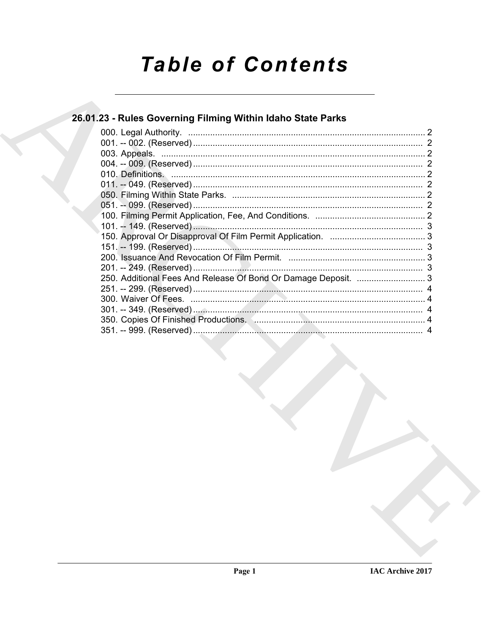# **Table of Contents**

### 26.01.23 - Rules Governing Filming Within Idaho State Parks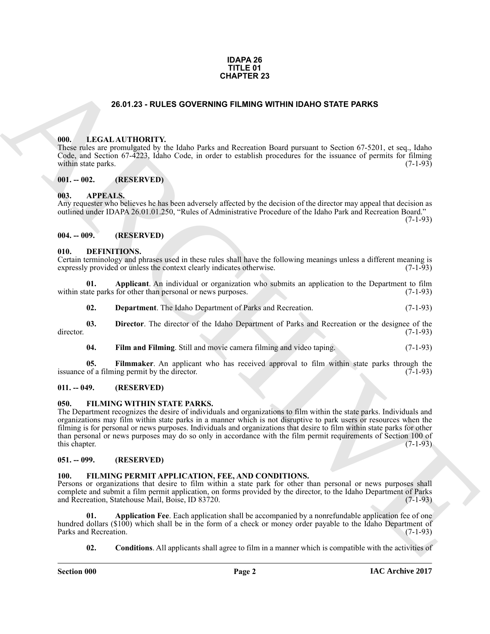#### **IDAPA 26 TITLE 01 CHAPTER 23**

#### **26.01.23 - RULES GOVERNING FILMING WITHIN IDAHO STATE PARKS**

#### <span id="page-1-1"></span><span id="page-1-0"></span>**000. LEGAL AUTHORITY.**

These rules are promulgated by the Idaho Parks and Recreation Board pursuant to Section 67-5201, et seq., Idaho Code, and Section 67-4223, Idaho Code, in order to establish procedures for the issuance of permits for filming within state parks.

#### <span id="page-1-2"></span>**001. -- 002. (RESERVED)**

#### <span id="page-1-3"></span>**003. APPEALS.**

Any requester who believes he has been adversely affected by the decision of the director may appeal that decision as outlined under IDAPA 26.01.01.250, "Rules of Administrative Procedure of the Idaho Park and Recreation Board."

(7-1-93)

#### <span id="page-1-4"></span>**004. -- 009. (RESERVED)**

#### <span id="page-1-10"></span><span id="page-1-5"></span>**010. DEFINITIONS.**

Certain terminology and phrases used in these rules shall have the following meanings unless a different meaning is expressly provided or unless the context clearly indicates otherwise. (7-1-93) expressly provided or unless the context clearly indicates otherwise.

**01. Applicant**. An individual or organization who submits an application to the Department to film ate parks for other than personal or news purposes. (7-1-93) within state parks for other than personal or news purposes.

<span id="page-1-13"></span><span id="page-1-12"></span><span id="page-1-11"></span>**02. Department**. The Idaho Department of Parks and Recreation. (7-1-93)

**03. Director**. The director of the Idaho Department of Parks and Recreation or the designee of the director. (7-1-93)

<span id="page-1-15"></span><span id="page-1-14"></span>**04.** Film and Filming. Still and movie camera filming and video taping. (7-1-93)

**05. Filmmaker**. An applicant who has received approval to film within state parks through the of a filming permit by the director. (7-1-93) issuance of a filming permit by the director.

#### <span id="page-1-6"></span>**011. -- 049. (RESERVED)**

#### <span id="page-1-19"></span><span id="page-1-7"></span>**050. FILMING WITHIN STATE PARKS.**

**26.61.23 - ROLES GOVERNING PILAIR OWTHN IDANO STATE PARKS<br>
(M).** LEGAL ALTITORITY he labor Parks and Revealed Donel generation Section 5.521, et set, labor (Victoria) (1991)<br>
(M). LEGAL ALTITORITY he labor Parks and Reve The Department recognizes the desire of individuals and organizations to film within the state parks. Individuals and organizations may film within state parks in a manner which is not disruptive to park users or resources when the filming is for personal or news purposes. Individuals and organizations that desire to film within state parks for other than personal or news purposes may do so only in accordance with the film permit requirements of Section 100 of this chapter.  $(7-1-93)$ this chapter. (7-1-93)

#### <span id="page-1-8"></span>**051. -- 099. (RESERVED)**

#### <span id="page-1-16"></span><span id="page-1-9"></span>**100. FILMING PERMIT APPLICATION, FEE, AND CONDITIONS.**

Persons or organizations that desire to film within a state park for other than personal or news purposes shall complete and submit a film permit application, on forms provided by the director, to the Idaho Department of Parks and Recreation, Statehouse Mail, Boise, ID 83720. (7-1-93)

**01. Application Fee**. Each application shall be accompanied by a nonrefundable application fee of one hundred dollars (\$100) which shall be in the form of a check or money order payable to the Idaho Department of Parks and Recreation (7-1-93) Parks and Recreation.

<span id="page-1-18"></span><span id="page-1-17"></span>**02. Conditions**. All applicants shall agree to film in a manner which is compatible with the activities of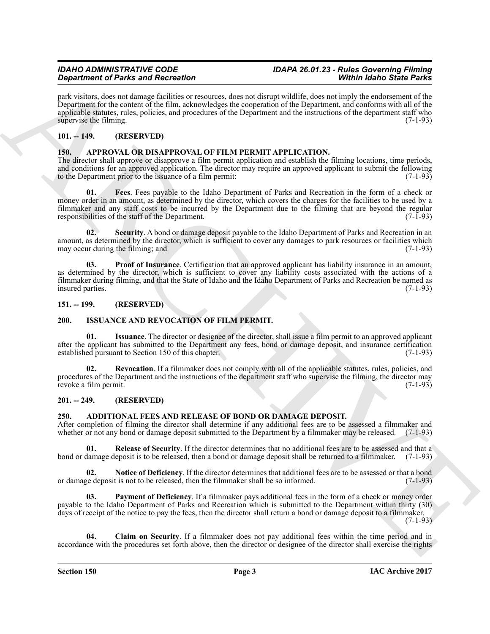## **Department of Parks and Recreation**

park visitors, does not damage facilities or resources, does not disrupt wildlife, does not imply the endorsement of the Department for the content of the film, acknowledges the cooperation of the Department, and conforms with all of the applicable statutes, rules, policies, and procedures of the Department and the instructions of the department staff who supervise the filming. (7-1-93)

#### <span id="page-2-0"></span>**101. -- 149. (RESERVED)**

#### <span id="page-2-11"></span><span id="page-2-1"></span>**150. APPROVAL OR DISAPPROVAL OF FILM PERMIT APPLICATION.**

<span id="page-2-12"></span>The director shall approve or disapprove a film permit application and establish the filming locations, time periods, and conditions for an approved application. The director may require an approved applicant to submit the following to the Department prior to the issuance of a film permit: (7-1-93)

Graduation of Baris and Recording to the summary that the summary which do the baris Side Point of Alexander China and the summary of Baris and the summary of the summary of the summary of the summary of the summary of th **01. Fees**. Fees payable to the Idaho Department of Parks and Recreation in the form of a check or money order in an amount, as determined by the director, which covers the charges for the facilities to be used by a filmmaker and any staff costs to be incurred by the Department due to the filming that are beyond the regular responsibilities of the staff of the Department. (7-1-93) responsibilities of the staff of the Department.

<span id="page-2-14"></span>**02. Security**. A bond or damage deposit payable to the Idaho Department of Parks and Recreation in an amount, as determined by the director, which is sufficient to cover any damages to park resources or facilities which may occur during the filming: and (7-1-93) may occur during the filming; and

<span id="page-2-13"></span>**03. Proof of Insurance**. Certification that an approved applicant has liability insurance in an amount, as determined by the director, which is sufficient to cover any liability costs associated with the actions of a filmmaker during filming, and that the State of Idaho and the Idaho Department of Parks and Recreation be named as insured parties. (7-1-93)

#### <span id="page-2-2"></span>**151. -- 199. (RESERVED)**

#### <span id="page-2-15"></span><span id="page-2-3"></span>**200. ISSUANCE AND REVOCATION OF FILM PERMIT.**

<span id="page-2-16"></span>**01. Issuance**. The director or designee of the director, shall issue a film permit to an approved applicant after the applicant has submitted to the Department any fees, bond or damage deposit, and insurance certification established pursuant to Section 150 of this chapter. (7-1-93) established pursuant to Section 150 of this chapter.

<span id="page-2-17"></span>**02. Revocation**. If a filmmaker does not comply with all of the applicable statutes, rules, policies, and procedures of the Department and the instructions of the department staff who supervise the filming, the director may<br>revoke a film permit. (7-1-93) revoke a film permit.

#### <span id="page-2-4"></span>**201. -- 249. (RESERVED)**

#### <span id="page-2-6"></span><span id="page-2-5"></span>**250. ADDITIONAL FEES AND RELEASE OF BOND OR DAMAGE DEPOSIT.**

After completion of filming the director shall determine if any additional fees are to be assessed a filmmaker and whether or not any bond or damage deposit submitted to the Department by a filmmaker may be released. (7-1-93)

<span id="page-2-10"></span>**01. Release of Security**. If the director determines that no additional fees are to be assessed and that a lamage deposit is to be released, then a bond or damage deposit shall be returned to a filmmaker. (7-1-93) bond or damage deposit is to be released, then a bond or damage deposit shall be returned to a filmmaker.

<span id="page-2-8"></span>**Notice of Deficiency**. If the director determines that additional fees are to be assessed or that a bond t is not to be released, then the filmmaker shall be so informed. (7-1-93) or damage deposit is not to be released, then the filmmaker shall be so informed.

<span id="page-2-9"></span>**03. Payment of Deficiency**. If a filmmaker pays additional fees in the form of a check or money order payable to the Idaho Department of Parks and Recreation which is submitted to the Department within thirty (30) days of receipt of the notice to pay the fees, then the director shall return a bond or damage deposit to a filmmaker.  $(7-1-93)$ 

<span id="page-2-7"></span>**04. Claim on Security**. If a filmmaker does not pay additional fees within the time period and in accordance with the procedures set forth above, then the director or designee of the director shall exercise the rights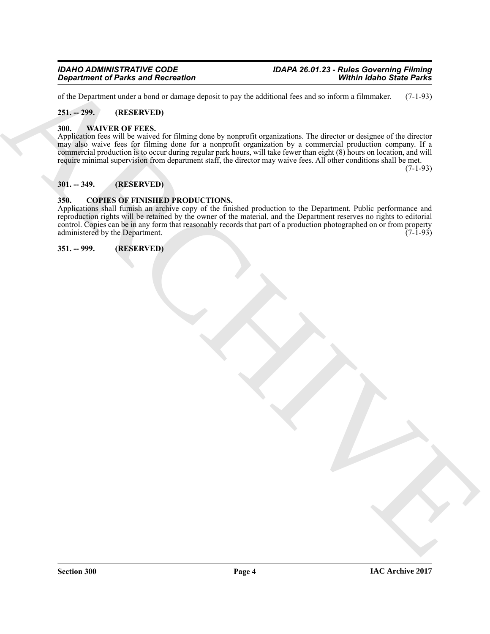### *Department of Parks and Recreation*

of the Department under a bond or damage deposit to pay the additional fees and so inform a filmmaker. (7-1-93)

#### <span id="page-3-0"></span>**251. -- 299. (RESERVED)**

#### <span id="page-3-6"></span><span id="page-3-1"></span>**300. WAIVER OF FEES.**

*Government of Parks and Recording*<br>
Ship delivery and the system of the state of the system of the state and so and so minimize a simulation.  $(7x^{1/2})$ <br>
Ship was the system of the system of the system of the system of t Application fees will be waived for filming done by nonprofit organizations. The director or designee of the director may also waive fees for filming done for a nonprofit organization by a commercial production company. If a commercial production is to occur during regular park hours, will take fewer than eight (8) hours on location, and will require minimal supervision from department staff, the director may waive fees. All other conditions shall be met. (7-1-93)

#### <span id="page-3-2"></span>**301. -- 349. (RESERVED)**

#### <span id="page-3-5"></span><span id="page-3-3"></span>**350. COPIES OF FINISHED PRODUCTIONS.**

Applications shall furnish an archive copy of the finished production to the Department. Public performance and reproduction rights will be retained by the owner of the material, and the Department reserves no rights to editorial control. Copies can be in any form that reasonably records that part of a production photographed on or from property administered by the Department. (7-1-93) administered by the Department.

<span id="page-3-4"></span>**351. -- 999. (RESERVED)**